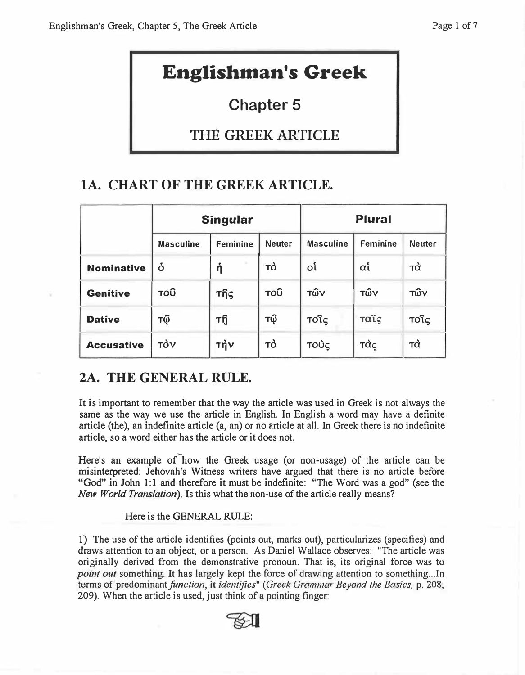# Englishman's Greek

## Chapter 5

## THE GREEK ARTICLE

## lA. CHART OF THE GREEK ARTICLE.

|                   | <b>Singular</b>  |                 |               | <b>Plural</b>    |          |                |
|-------------------|------------------|-----------------|---------------|------------------|----------|----------------|
|                   | <b>Masculine</b> | <b>Feminine</b> | <b>Neuter</b> | <b>Masculine</b> | Feminine | <b>Neuter</b>  |
| <b>Nominative</b> | ò                | ή               | ΤÒ            | οί               | αἱ       | $\vec{\alpha}$ |
| <b>Genitive</b>   | TOÛ              | τῆς             | <b>TOÛ</b>    | Τῶν              | Τῶν      | Τῶν            |
| <b>Dative</b>     | тῷ               | τŷ              | тῷ            | τοίς             | ταΐς     | τοΐς           |
| <b>Accusative</b> | τὸν              | τὴν             | тò            | τοὺς             | τὰς      | $\vec{\alpha}$ |

## 2A. THE GENERAL RULE.

It is important to remember that the way the article was used in Greek is not always the same as the way we use the article in English. In English a word may have a definite article (the), an indefinite article (a, an) or no article at all. In Greek there is no indefinite article, so a word either has the article or it does not.

Here's an example of how the Greek usage (or non-usage) of the article can be misinterpreted: Jehovah's Witness writers have argued that there is no article before "God" in John 1:1 and therefore it must be indefinite: "The Word was a god" (see the New World Translation). Is this what the non-use of the article really means?

## Here is the GENERAL RULE:

I) The use of the article identifies (points out, marks out), particularizes (specifies) and draws attention to an object, or a person. As Daniel Wallace observes: "The article was originally derived from the demonstrative pronoun. That is, its original force was to point out something. It has largely kept the force of drawing attention to something...In terms of predominant function, it identifies" (Greek Grammar Beyond the Basics, p. 208, 209). When the article is used, just think of a pointing finger:

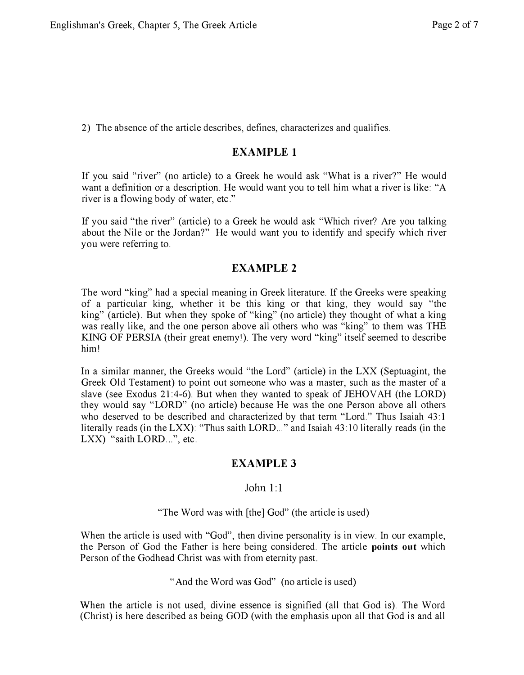2) The absence of the article describes, defines, characterizes and qualifies.

## EXAMPLE 1

If you said "river" (no article) to a Greek he would ask "What is a river?" He would want a definition or a description. He would want you to tell him what a river is like: "A river is a flowing body of water, etc."

If you said "the river" (article) to a Greek he would ask "Which river? Are you talking about the Nile or the Jordan?" He would want you to identify and specify which river you were referring to.

## EXAMPLE 2

The word "king" had a special meaning in Greek literature. If the Greeks were speaking of a particular king, whether it be this king or that king, they would say "the king" (article). But when they spoke of "king" (no article) they thought of what a king was really like, and the one person above all others who was "king" to them was THE KING OF PERSIA (their great enemy!). The very word "king" itself seemed to describe him!

In a similar manner, the Greeks would "the Lord" (article) in the LXX (Septuagint, the Greek Old Testament) to point out someone who was a master, such as the master of a slave (see Exodus 21:4-6). But when they wanted to speak of JEHOVAH (the LORD) they would say "LORD" (no article) because He was the one Person above all others who deserved to be described and characterized by that term "Lord." Thus Isaiah 43:1 literally reads (in the LXX): "Thus saith LORD..." and Isaiah 43:10 literally reads (in the LXX) "saith LORD $\ldots$ ", etc.

## EXAMPLE 3

#### John 1:1

#### "The Word was with [the] God" (the article is used)

When the article is used with "God", then divine personality is in view. In our example, the Person of God the Father is here being considered. The article points out which Person of the Godhead Christ was with from eternity past.

"And the Word was God" (no article is used)

When the article is not used, divine essence is signified (all that God is). The Word (Christ) is here described as being GOD (with the emphasis upon all that God is and all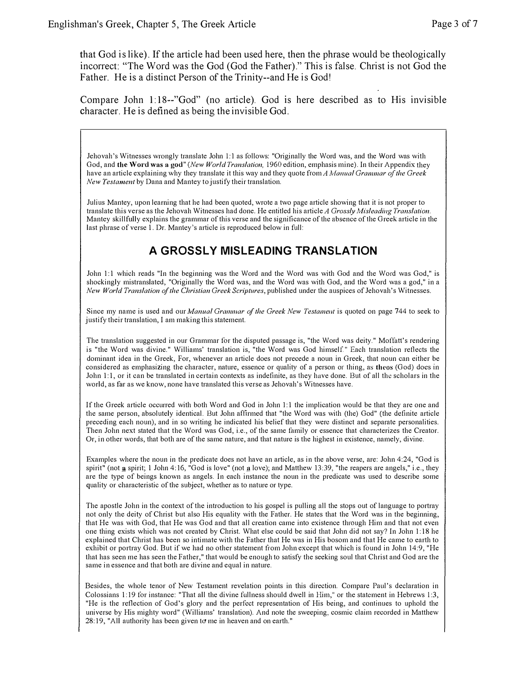that God is like). If the article had been used here, then the phrase would be theologically incorrect: "The Word was the God (God the Father)." This is false. Christ is not God the Father. He is a distinct Person of the Trinity--and He is God!

Compare John 1: 18--"God" (no article). God is here described as to His invisible character. He is defined as being the invisible God.

Jehovah's Witnesses wrongly translate John 1:1 as follows: "Originally the Word was, and the Word was with God, and the Word was a god" (New World Translation, 1960 edition, emphasis mine). In their Appendix they have an article explaining why they translate it this way and they quote from A Manual Grammar of the Greek New Testament by Dana and Mantey to justify their translation.

Julius Mantey, upon learning that he had been quoted, wrote a two page article showing that it is not proper to translate this verse as the Jehovah Witnesses had done. He entitled his article A Grossly Misleading Translation. Mantey skillfully explains the grammar of this verse and the significance of the absence of the Greek article in the last phrase of verse 1. Dr. Mantey's article is reproduced below in full:

## A GROSSLY MISLEADING TRANSLATION

John 1:1 which reads "In the beginning was the Word and the Word was with God and the Word was God," is shockingly mistranslated, "Originally the Word was, and the Word was with God, and the Word was a god," in a New World Translation of the Christian Greek Scriptures, published under the auspices of Jehovah's Witnesses.

Since my name is used and our Manual Graninar of the Greek New Testament is quoted on page 744 to seek to justify their translation, I am making this statement.

The translation suggested in our Grammar for the disputed passage is, "the Word was deity." Moffatt's rendering is "the Word was divine." Williams' translation is, "the Word was God himself." Each translation reflects the dominant idea in the Greek, For, whenever an article does not precede a noun in Greek, that noun can either be considered as emphasizing the character, nature, essence or quality of a person or thing, as thcos (God) docs in John 1:1, or it can be translated in certain contexts as indefinite, as they have done. But of all the scholars in the world, as far as we know, none have translated this verse as Jehovah's Witnesses have.

If the Greek article occurred with both Word and God in John 1:1 the implication would be that they are one and the same person, absolutely identical. But John affirmed that "the Word was with (the) God" (the definite article preceding each noun), and in so writing he indicated his belief that they were distinct and separate personalities. Then John next stated that the Word was God, i.e., of the same family or essence that characterizes the Creator. Or, in other words, that both are of the same nature, and that nature is the highest in existence, namely, divine.

Examples where the noun in the predicate does not have an article, as in the above verse, are: John 4:24, "God is spirit" (not  $\mathbf{\underline{a}}$  spirit; 1. John 4:16, "God is love" (not  $\mathbf{\underline{a}}$  love); and Matthew 13:39, "the reapers are angels," i.e., they are the type of beings known as angels. In each instance the noun in the predicate was used to describe some quality or characteristic of the subject, whether as to nature or type.

The apostle John in the context of the introduction to his gospel is pulling all the stops out of language to portray not only the deity of Christ but also His equality with the Father. He states that the Word was in the beginning, that He was with God, that He was God and that all creation came into existence through Him and that not even one thing exists which was not created by Christ. What else could be said that John did not say? In John 1: 18 he explained that Christ has been so intimate with the Father that He was in His bosom and that He came to earth to exhibit or portray God. But if we had no other statement from John except that which is found in John 14:9, "He that has seen me has seen the Father," that would be enough to satisfy the seeking soul that Christ and God are the same in essence and that both are divine and equal in nature.

Besides, the whole tenor of New Testament revelation points in this direction. Compare Paul's declaration in Colossians 1:19 for instance: "That all the divine fullness should dwell in Him," or the statement in Hebrews 1:3, "He is the reflection of God's glory and the perfect representation of His being, and continues to uphold the universe by His mighty word" (Williams' translation). And note the sweeping, cosmic claim recorded in Matthew  $28:19$ , "All authority has been given to me in heaven and on earth."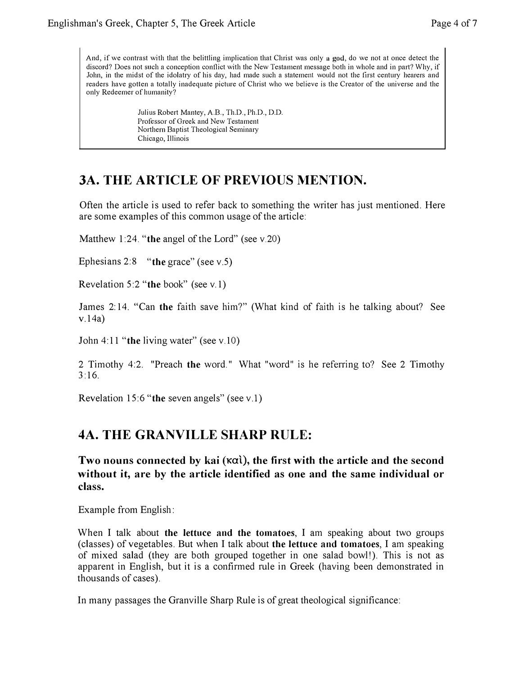And, if we contrast with that the belittling implication that Christ was only a god, do we not at once detect the discord? Does not such a conception conflict with the New Testament message both in whole and in part? Why, if John, in the midst of the idolatry of his day, had made such a statement would not the first century hearers and readers have gotten a totally inadequate picture of Christ who we believe is the Creator of the universe and the only Redeemer of humanity?

> Julius Robert Mantey, A.B., Th.D., Ph.D., D.D. Professor of Greek and New Testament Northern Baptist Theological Seminary Chicago, Illinois

## JA. THE ARTICLE OF PREVIOUS MENTION.

Often the article is used to refer back to something the writer has just mentioned. Here are some examples of this common usage of the article:

Matthew 1:24. "the angel of the Lord" (see  $v.20$ )

Ephesians 2:8 "the grace" (see v.5)

Revelation 5:2 "the book" (see v.1 )

James 2: 14. "Can the faith save him?" (What kind of faith is he talking about? See v.14a)

John 4:11 "the living water" (see  $v.10$ )

2 Timothy 4:2. "Preach the word." What "word" is he referring to? See 2 Timothy  $3:16.$ 

Revelation 15:6 "the seven angels" (see  $v.1$ )

## 4A. THE GRANVILLE SHARP RULE:

Two nouns connected by kai ( $k\alpha$ ), the first with the article and the second without it, are by the article identified as one and the same individual or class.

Example from English:

When I talk about the lettuce and the tomatoes, I am speaking about two groups (classes) of vegetables. But when I talk about the lettuce and tomatoes, I am speaking of mixed salad (they are both grouped together in one salad bowl!). This is not as apparent in English, but it is a confirmed rule in Greek (having been demonstrated in thousands of cases).

In many passages the Granville Sharp Rule is of great theological significance: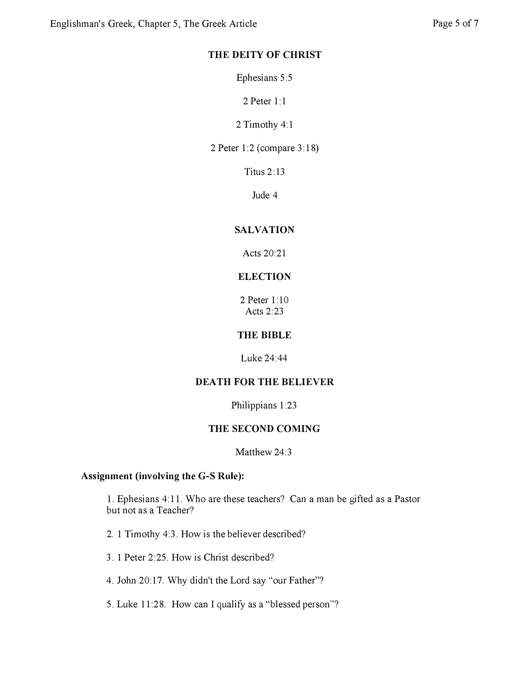#### THE DEITY OF CHRIST

Ephesians 5:5

2 Peter 1: 1

2 Timothy 4:1

2 Peter 1:2 (compare 3:18)

Titus  $2:13$ 

Jude 4

## SALVATION

Acts 20:21

## **ELECTION**

2 Peter 1:10 Acts 2:23

#### THE BIBLE

Luke 24:44

## DEATH FOR THE BELIEVER

Philippians 1:23

#### THE SECOND COMING

Matthew 24:3

#### Assignment (involving the G-S Rule):

1. Ephesians 4: 11. Who are these teachers? Can a man be gifted as a Pastor but not as a Teacher?

2. 1 Timothy 4:3. How is the believer described?

3. 1Peter2:25 . How is Christ described?

4. John 20:17. Why didn't the Lord say "our Father"?

5. Luke 11 :28. How can I qualify as a "blessed person"?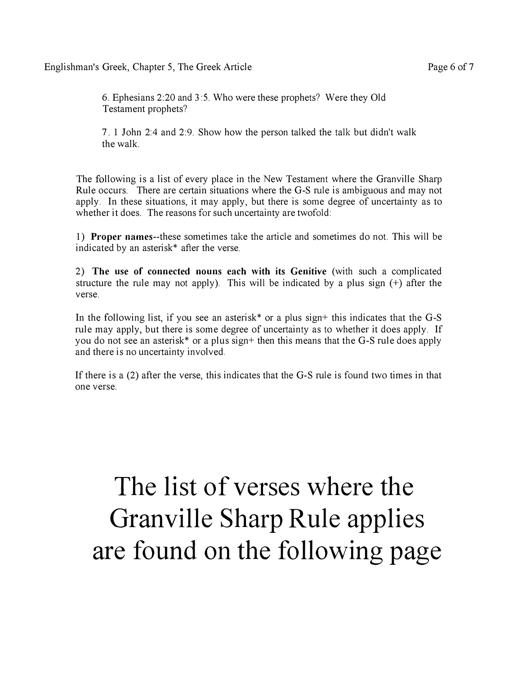6. Ephesians 2:20 and 3:5. Who were these prophets? Were they Old Testament prophets?

7. 1 John 2:4 and 2:9. Show how the person talked the talk but didn't walk the walk.

The following is a list of every place in the New Testament where the Granville Sharp Rule occurs. There are certain situations where the G-S rule is ambiguous and may not apply. In these situations, it may apply, but there is some degree of uncertainty as to whether it does. The reasons for such uncertainty are twofold:

1) Proper names--these sometimes take the article and sometimes do not. This will be indicated by an asterisk\* after the verse.

2) The use of connected nouns each with its Genitive (with such a complicated structure the rule may not apply). This will be indicated by a plus sign (+) after the verse.

In the following list, if you see an asterisk\* or a plus sign+ this indicates that the G-S rule may apply, but there is some degree of uncertainty as to whether it does apply. If you do not see an asterisk\* or a plus sign+ then this means that the G-S rule does apply and there is no uncertainty involved.

If there is a (2) after the verse, this indicates that the G-S rule is found two times in that one verse.

# The list of verses where the Granville Sharp Rule applies are found on the following page